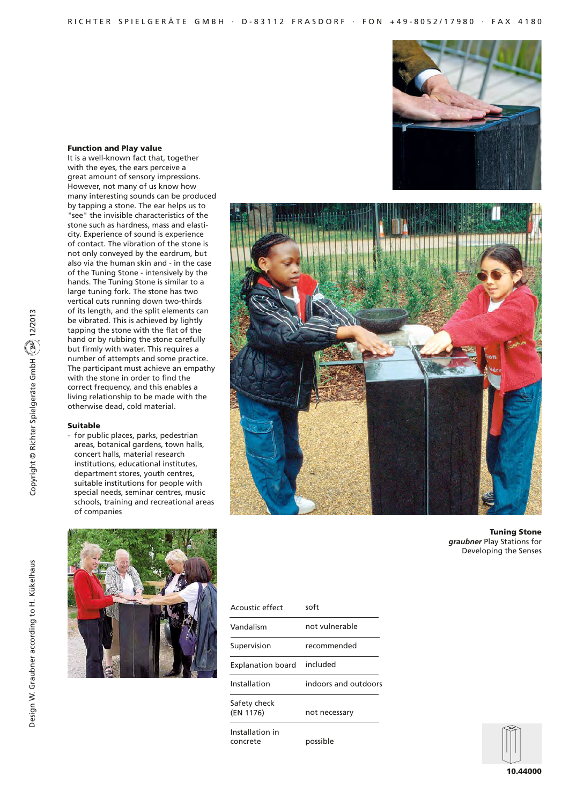### Function and Play value

It is a well-known fact that, together with the eyes, the ears perceive a great amount of sensory impressions. However, not many of us know how many interesting sounds can be produced by tapping a stone. The ear helps us to "see" the invisible characteristics of the stone such as hardness, mass and elasticity. Experience of sound is experience of contact. The vibration of the stone is not only conveyed by the eardrum, but also via the human skin and - in the case of the Tuning Stone - intensively by the hands. The Tuning Stone is similar to a large tuning fork. The stone has two vertical cuts running down two-thirds of its length, and the split elements can be vibrated. This is achieved by lightly tapping the stone with the flat of the hand or by rubbing the stone carefully but firmly with water. This requires a number of attempts and some practice. The participant must achieve an empathy with the stone in order to find the correct frequency, and this enables a living relationship to be made with the otherwise dead, cold material.

### Suitable

Copyright © Richter Spielgeräte GmbH 12/2013

Copyright © Richter Spielgeräte GmbH (2013) 12/2013

- for public places, parks, pedestrian areas, botanical gardens, town halls, concert halls, material research institutions, educational institutes, department stores, youth centres, suitable institutions for people with special needs, seminar centres, music schools, training and recreational areas of companies





Tuning Stone *graubner* Play Stations for Developing the Senses

Design W. Graubner according to H. Kükelhaus



| Acoustic effect             | soft                 |
|-----------------------------|----------------------|
| Vandalism                   | not vulnerable       |
| Supervision                 | recommended          |
| Explanation board           | included             |
| Installation                | indoors and outdoors |
| Safety check<br>(EN 1176)   | not necessary        |
| Installation in<br>concrete | possible             |